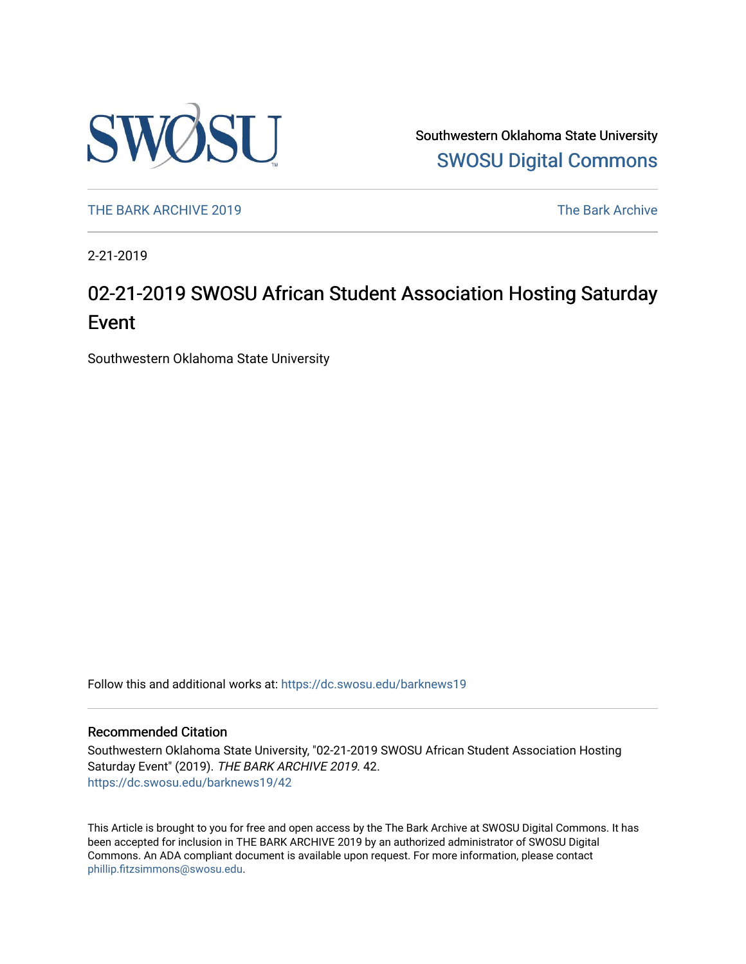

Southwestern Oklahoma State University [SWOSU Digital Commons](https://dc.swosu.edu/) 

[THE BARK ARCHIVE 2019](https://dc.swosu.edu/barknews19) The Bark Archive

2-21-2019

### 02-21-2019 SWOSU African Student Association Hosting Saturday Event

Southwestern Oklahoma State University

Follow this and additional works at: [https://dc.swosu.edu/barknews19](https://dc.swosu.edu/barknews19?utm_source=dc.swosu.edu%2Fbarknews19%2F42&utm_medium=PDF&utm_campaign=PDFCoverPages)

#### Recommended Citation

Southwestern Oklahoma State University, "02-21-2019 SWOSU African Student Association Hosting Saturday Event" (2019). THE BARK ARCHIVE 2019. 42. [https://dc.swosu.edu/barknews19/42](https://dc.swosu.edu/barknews19/42?utm_source=dc.swosu.edu%2Fbarknews19%2F42&utm_medium=PDF&utm_campaign=PDFCoverPages) 

This Article is brought to you for free and open access by the The Bark Archive at SWOSU Digital Commons. It has been accepted for inclusion in THE BARK ARCHIVE 2019 by an authorized administrator of SWOSU Digital Commons. An ADA compliant document is available upon request. For more information, please contact [phillip.fitzsimmons@swosu.edu](mailto:phillip.fitzsimmons@swosu.edu).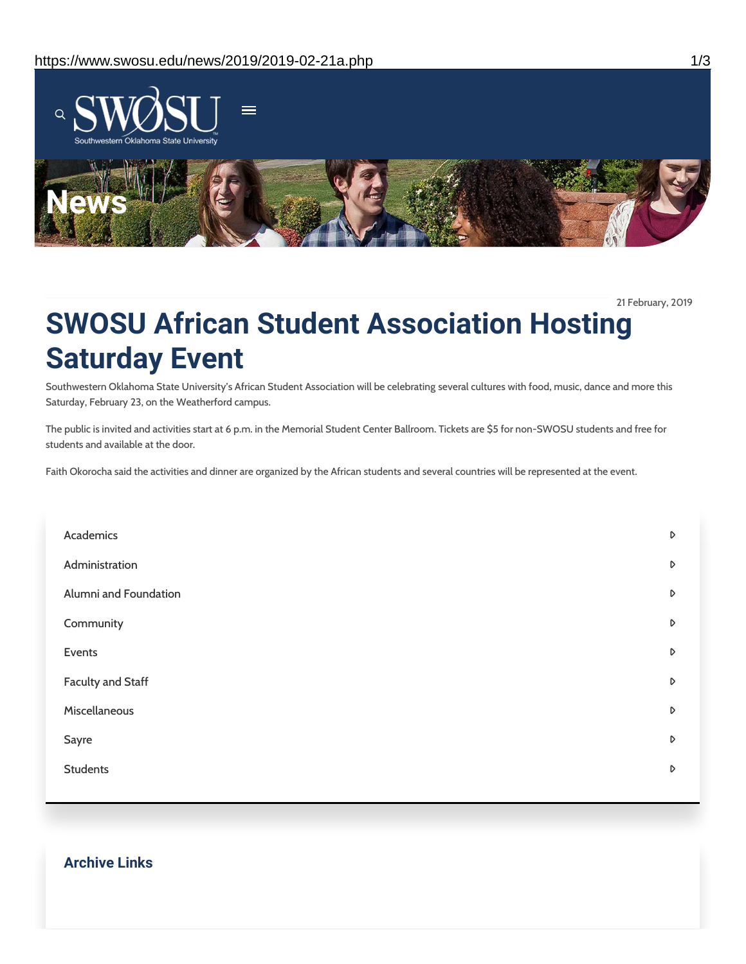

21 February, 2019

## **SWOSU African Student Association Hosting Saturday Event**

Southwestern Oklahoma State University's African Student Association will be celebrating several cultures with food, music, dance and more this Saturday, February 23, on the Weatherford campus.

The public is invited and activities start at 6 p.m. in the Memorial Student Center Ballroom. Tickets are \$5 for non-SWOSU students and free for students and available at the door.

Faith Okorocha said the activities and dinner are organized by the African students and several countries will be represented at the event.

| Academics                | D |
|--------------------------|---|
| Administration           | D |
| Alumni and Foundation    | D |
| Community                | D |
| Events                   | D |
| <b>Faculty and Staff</b> | D |
| Miscellaneous            | D |
| Sayre                    | D |
| <b>Students</b>          | D |
|                          |   |

#### **Archive Links**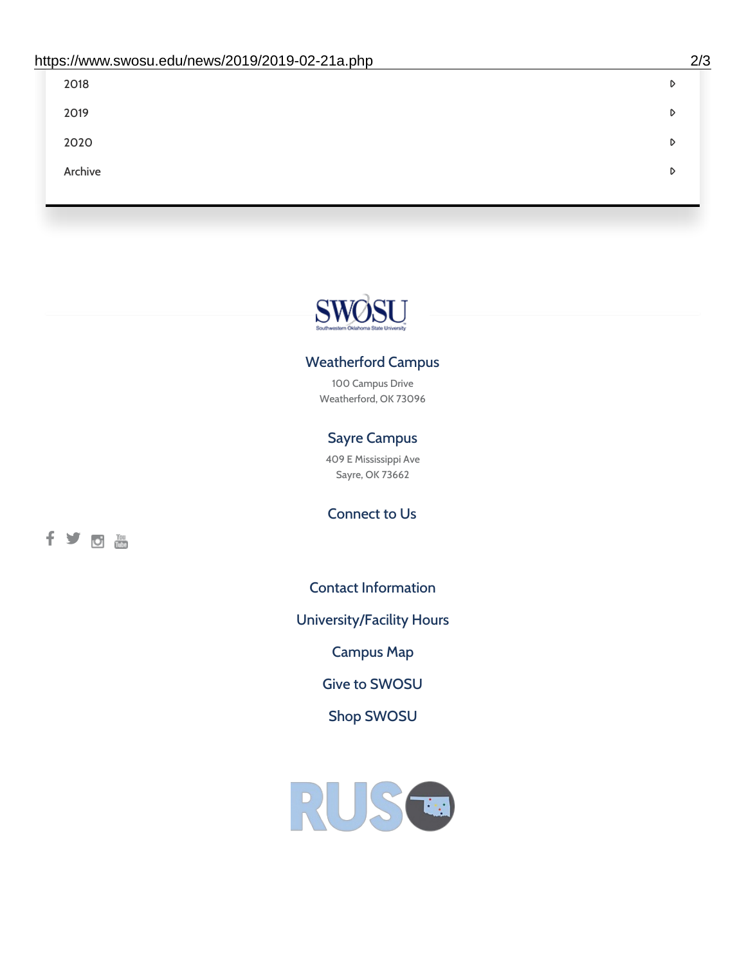| 2018    | D |
|---------|---|
| 2019    | D |
| 2020    | D |
| Archive | D |
|         |   |

# SWØSU

#### Weatherford Campus

100 Campus Drive Weatherford, OK 73096

#### Sayre Campus

409 E Mississippi Ave Sayre, OK 73662

fyom

Connect to Us

Contact [Information](https://www.swosu.edu/about/contact.php)

[University/Facility](https://www.swosu.edu/about/operating-hours.php) Hours

[Campus](https://map.concept3d.com/?id=768#!ct/10964,10214,10213,10212,10205,10204,10203,10202,10136,10129,10128,0,31226,10130,10201,10641,0) Map

Give to [SWOSU](https://standingfirmly.com/donate)

Shop [SWOSU](https://shopswosu.merchorders.com/)